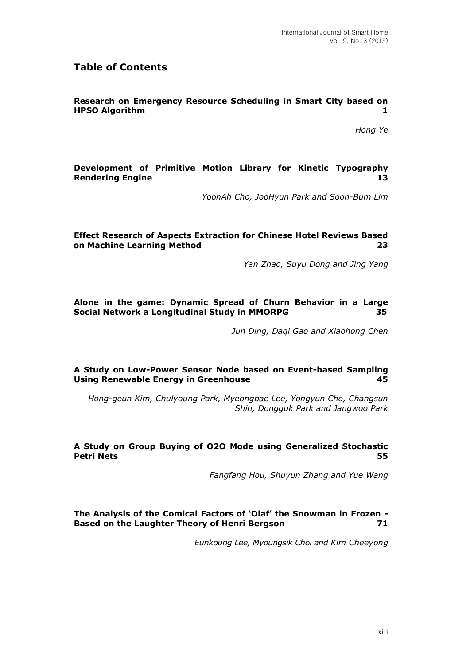# **Table of Contents**

#### **Research on Emergency Resource Scheduling in Smart City based on HPSO Algorithm 1**

*Hong Ye*

#### **Development of Primitive Motion Library for Kinetic Typography Rendering Engine 13**

*YoonAh Cho, JooHyun Park and Soon-Bum Lim*

#### **Effect Research of Aspects Extraction for Chinese Hotel Reviews Based**  on Machine Learning Method  **23**

*Yan Zhao, Suyu Dong and Jing Yang*

# **Alone in the game: Dynamic Spread of Churn Behavior in a Large Social Network a Longitudinal Study in MMORPG 35**

*Jun Ding, Daqi Gao and Xiaohong Chen*

# **A Study on Low-Power Sensor Node based on Event-based Sampling Using Renewable Energy in Greenhouse 45**

*Hong-geun Kim, Chulyoung Park, Myeongbae Lee, Yongyun Cho, Changsun Shin, Dongguk Park and Jangwoo Park*

#### **A Study on Group Buying of O2O Mode using Generalized Stochastic Petri Nets 55**

*Fangfang Hou, Shuyun Zhang and Yue Wang*

# **The Analysis of the Comical Factors of 'Olaf' the Snowman in Frozen - Based on the Laughter Theory of Henri Bergson 71**

*Eunkoung Lee, Myoungsik Choi and Kim Cheeyong*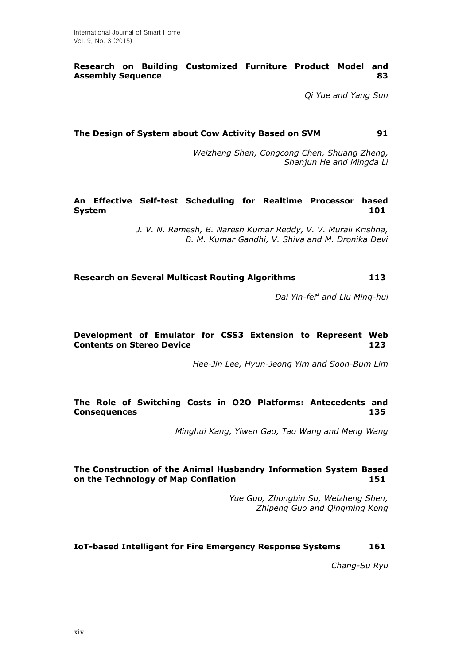# **Research on Building Customized Furniture Product Model and Assembly Sequence 83**

*Qi Yue and Yang Sun*

# **The Design of System about Cow Activity Based on SVM 91**

*Weizheng Shen, Congcong Chen, Shuang Zheng, Shanjun He and Mingda Li*

#### **An Effective Self-test Scheduling for Realtime Processor based System 101**

*J. V. N. Ramesh, B. Naresh Kumar Reddy, V. V. Murali Krishna, B. M. Kumar Gandhi, V. Shiva and M. Dronika Devi*

# **Research on Several Multicast Routing Algorithms 113**

Dai Yin-fei<sup>a</sup> and Liu Ming-hui

# **Development of Emulator for CSS3 Extension to Represent Web Contents on Stereo Device 123**

*Hee-Jin Lee, Hyun-Jeong Yim and Soon-Bum Lim*

# **The Role of Switching Costs in O2O Platforms: Antecedents and Consequences 135**

*Minghui Kang, Yiwen Gao, Tao Wang and Meng Wang*

# **The [Construction](javascript:showjdsw() of the [Animal Husbandry](javascript:showjdsw() Information System Based on the Technology of [Map Conflation](http://dict.cnki.net/dict_result.aspx?searchword=%e5%9c%b0%e5%9b%be%e5%90%88%e5%b9%b6&tjType=sentence&style=&t=map+conflation) 151**

*Yue Guo, Zhongbin Su, Weizheng Shen, Zhipeng Guo and Qingming Kong*

#### **IoT-based Intelligent for Fire Emergency Response Systems 161**

*Chang-Su Ryu*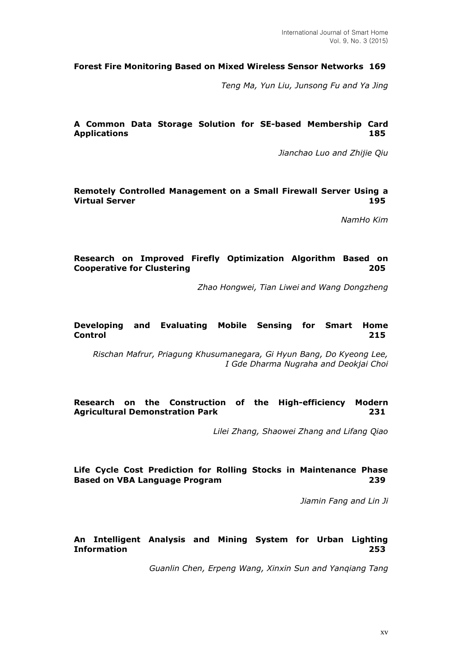#### **Forest Fire Monitoring Based on Mixed Wireless Sensor Networks 169**

*Teng Ma, Yun Liu, Junsong Fu and Ya Jing*

# **A Common Data Storage Solution for SE-based Membership Card Applications 185**

*Jianchao Luo and Zhijie Qiu*

#### **Remotely Controlled Management on a Small Firewall Server Using a Virtual Server 195**

*NamHo Kim*

# **Research on Improved Firefly Optimization Algorithm Based on Cooperative for Clustering 205**

*Zhao Hongwei, Tian Liwei and Wang Dongzheng*

#### **Developing and Evaluating Mobile Sensing for Smart Home Control 215**

*Rischan Mafrur, Priagung Khusumanegara, Gi Hyun Bang, Do Kyeong Lee, I Gde Dharma Nugraha and Deokjai Choi*

#### **Research on the Construction of the High-efficiency Modern Agricultural Demonstration Park 231**

*Lilei Zhang, Shaowei Zhang and Lifang Qiao*

# **Life Cycle Cost Prediction for Rolling Stocks in Maintenance Phase Based on VBA Language Program 239**

*Jiamin Fang and Lin Ji*

#### **An Intelligent Analysis and Mining System for Urban Lighting Information 253**

*Guanlin Chen, Erpeng Wang, Xinxin Sun and Yanqiang Tang*